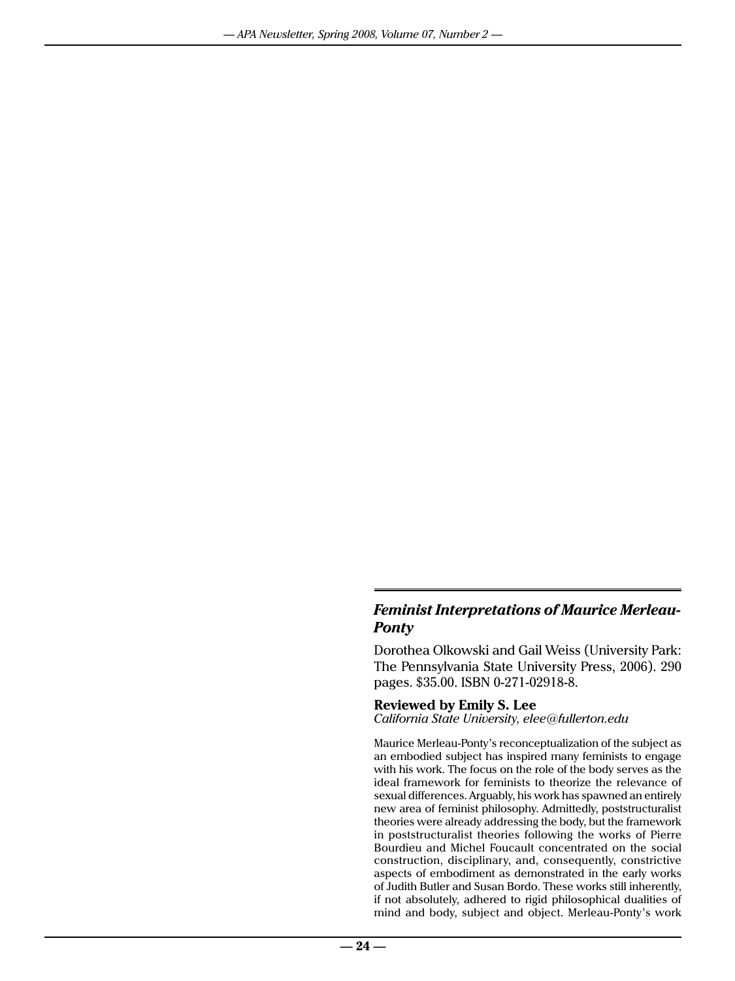## *Feminist Interpretations of Maurice Merleau-Ponty*

Dorothea Olkowski and Gail Weiss (University Park: The Pennsylvania State University Press, 2006). 290 pages. \$35.00. ISBN 0-271-02918-8.

## **Reviewed by Emily S. Lee**

*California State University, elee@fullerton.edu*

Maurice Merleau-Ponty's reconceptualization of the subject as an embodied subject has inspired many feminists to engage with his work. The focus on the role of the body serves as the ideal framework for feminists to theorize the relevance of sexual differences. Arguably, his work has spawned an entirely new area of feminist philosophy. Admittedly, poststructuralist theories were already addressing the body, but the framework in poststructuralist theories following the works of Pierre Bourdieu and Michel Foucault concentrated on the social construction, disciplinary, and, consequently, constrictive aspects of embodiment as demonstrated in the early works of Judith Butler and Susan Bordo. These works still inherently, if not absolutely, adhered to rigid philosophical dualities of mind and body, subject and object. Merleau-Ponty's work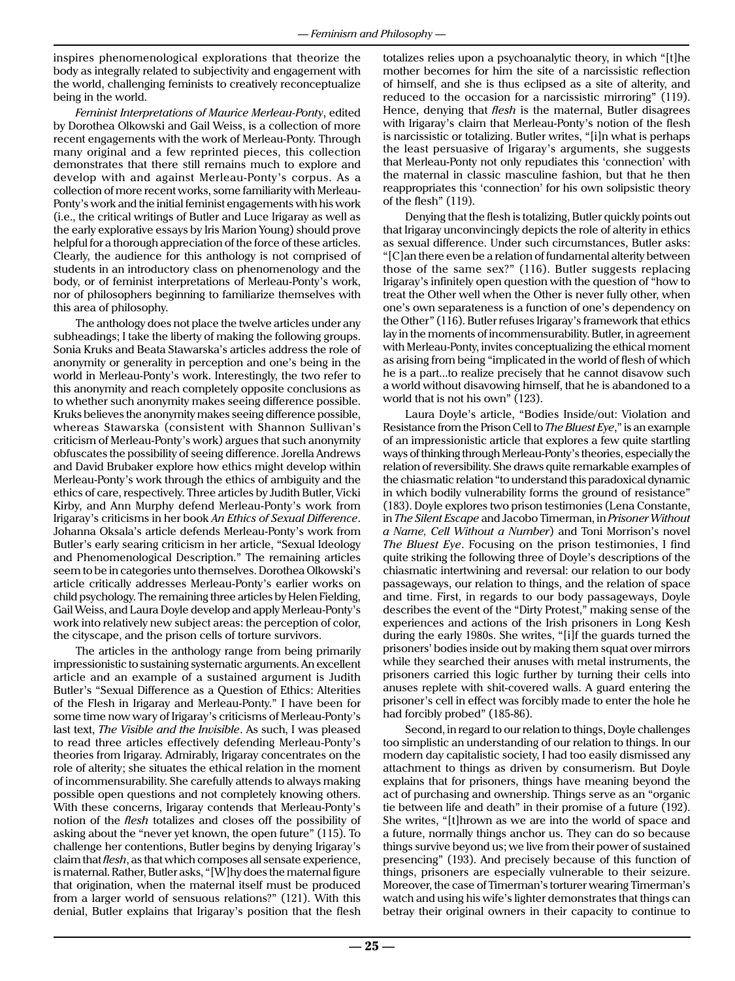inspires phenomenological explorations that theorize the body as integrally related to subjectivity and engagement with the world, challenging feminists to creatively reconceptualize being in the world.

*Feminist Interpretations of Maurice Merleau-Ponty*, edited by Dorothea Olkowski and Gail Weiss, is a collection of more recent engagements with the work of Merleau-Ponty. Through many original and a few reprinted pieces, this collection demonstrates that there still remains much to explore and develop with and against Merleau-Ponty's corpus. As a collection of more recent works, some familiarity with Merleau-Ponty's work and the initial feminist engagements with his work (i.e., the critical writings of Butler and Luce Irigaray as well as the early explorative essays by Iris Marion Young) should prove helpful for a thorough appreciation of the force of these articles. Clearly, the audience for this anthology is not comprised of students in an introductory class on phenomenology and the body, or of feminist interpretations of Merleau-Ponty's work, nor of philosophers beginning to familiarize themselves with this area of philosophy.

The anthology does not place the twelve articles under any subheadings; I take the liberty of making the following groups. Sonia Kruks and Beata Stawarska's articles address the role of anonymity or generality in perception and one's being in the world in Merleau-Ponty's work. Interestingly, the two refer to this anonymity and reach completely opposite conclusions as to whether such anonymity makes seeing difference possible. Kruks believes the anonymity makes seeing difference possible, whereas Stawarska (consistent with Shannon Sullivan's criticism of Merleau-Ponty's work) argues that such anonymity obfuscates the possibility of seeing difference. Jorella Andrews and David Brubaker explore how ethics might develop within Merleau-Ponty's work through the ethics of ambiguity and the ethics of care, respectively. Three articles by Judith Butler, Vicki Kirby, and Ann Murphy defend Merleau-Ponty's work from Irigaray's criticisms in her book *An Ethics of Sexual Difference*. Johanna Oksala's article defends Merleau-Ponty's work from Butler's early searing criticism in her article, "Sexual Ideology and Phenomenological Description." The remaining articles seem to be in categories unto themselves. Dorothea Olkowski's article critically addresses Merleau-Ponty's earlier works on child psychology. The remaining three articles by Helen Fielding, Gail Weiss, and Laura Doyle develop and apply Merleau-Ponty's work into relatively new subject areas: the perception of color, the cityscape, and the prison cells of torture survivors.

The articles in the anthology range from being primarily impressionistic to sustaining systematic arguments. An excellent article and an example of a sustained argument is Judith Butler's "Sexual Difference as a Question of Ethics: Alterities of the Flesh in Irigaray and Merleau-Ponty." I have been for some time now wary of Irigaray's criticisms of Merleau-Ponty's last text, *The Visible and the Invisible*. As such, I was pleased to read three articles effectively defending Merleau-Ponty's theories from Irigaray. Admirably, Irigaray concentrates on the role of alterity; she situates the ethical relation in the moment of incommensurability. She carefully attends to always making possible open questions and not completely knowing others. With these concerns, Irigaray contends that Merleau-Ponty's notion of the *flesh* totalizes and closes off the possibility of asking about the "never yet known, the open future" (115). To challenge her contentions, Butler begins by denying Irigaray's claim that *flesh*, as that which composes all sensate experience, is maternal. Rather, Butler asks, "[W]hy does the maternal figure that origination, when the maternal itself must be produced from a larger world of sensuous relations?" (121). With this denial, Butler explains that Irigaray's position that the flesh totalizes relies upon a psychoanalytic theory, in which "[t]he mother becomes for him the site of a narcissistic reflection of himself, and she is thus eclipsed as a site of alterity, and reduced to the occasion for a narcissistic mirroring" (119). Hence, denying that *flesh* is the maternal, Butler disagrees with Irigaray's claim that Merleau-Ponty's notion of the flesh is narcissistic or totalizing. Butler writes, "[i]n what is perhaps the least persuasive of Irigaray's arguments, she suggests that Merleau-Ponty not only repudiates this 'connection' with the maternal in classic masculine fashion, but that he then reappropriates this 'connection' for his own solipsistic theory of the flesh" (119).

Denying that the flesh is totalizing, Butler quickly points out that Irigaray unconvincingly depicts the role of alterity in ethics as sexual difference. Under such circumstances, Butler asks: "[C]an there even be a relation of fundamental alterity between those of the same sex?" (116). Butler suggests replacing Irigaray's infinitely open question with the question of "how to treat the Other well when the Other is never fully other, when one's own separateness is a function of one's dependency on the Other" (116). Butler refuses Irigaray's framework that ethics lay in the moments of incommensurability. Butler, in agreement with Merleau-Ponty, invites conceptualizing the ethical moment as arising from being "implicated in the world of flesh of which he is a part...to realize precisely that he cannot disavow such a world without disavowing himself, that he is abandoned to a world that is not his own" (123).

Laura Doyle's article, "Bodies Inside/out: Violation and Resistance from the Prison Cell to *The Bluest Eye*," is an example of an impressionistic article that explores a few quite startling ways of thinking through Merleau-Ponty's theories, especially the relation of reversibility. She draws quite remarkable examples of the chiasmatic relation "to understand this paradoxical dynamic in which bodily vulnerability forms the ground of resistance" (183). Doyle explores two prison testimonies (Lena Constante, in *The Silent Escape* and Jacobo Timerman, in *Prisoner Without a Name, Cell Without a Number*) and Toni Morrison's novel *The Bluest Eye*. Focusing on the prison testimonies, I find quite striking the following three of Doyle's descriptions of the chiasmatic intertwining and reversal: our relation to our body passageways, our relation to things, and the relation of space and time. First, in regards to our body passageways, Doyle describes the event of the "Dirty Protest," making sense of the experiences and actions of the Irish prisoners in Long Kesh during the early 1980s. She writes, "[i]f the guards turned the prisoners' bodies inside out by making them squat over mirrors while they searched their anuses with metal instruments, the prisoners carried this logic further by turning their cells into anuses replete with shit-covered walls. A guard entering the prisoner's cell in effect was forcibly made to enter the hole he had forcibly probed" (185-86).

Second, in regard to our relation to things, Doyle challenges too simplistic an understanding of our relation to things. In our modern day capitalistic society, I had too easily dismissed any attachment to things as driven by consumerism. But Doyle explains that for prisoners, things have meaning beyond the act of purchasing and ownership. Things serve as an "organic tie between life and death" in their promise of a future (192). She writes, "[t]hrown as we are into the world of space and a future, normally things anchor us. They can do so because things survive beyond us; we live from their power of sustained presencing" (193). And precisely because of this function of things, prisoners are especially vulnerable to their seizure. Moreover, the case of Timerman's torturer wearing Timerman's watch and using his wife's lighter demonstrates that things can betray their original owners in their capacity to continue to